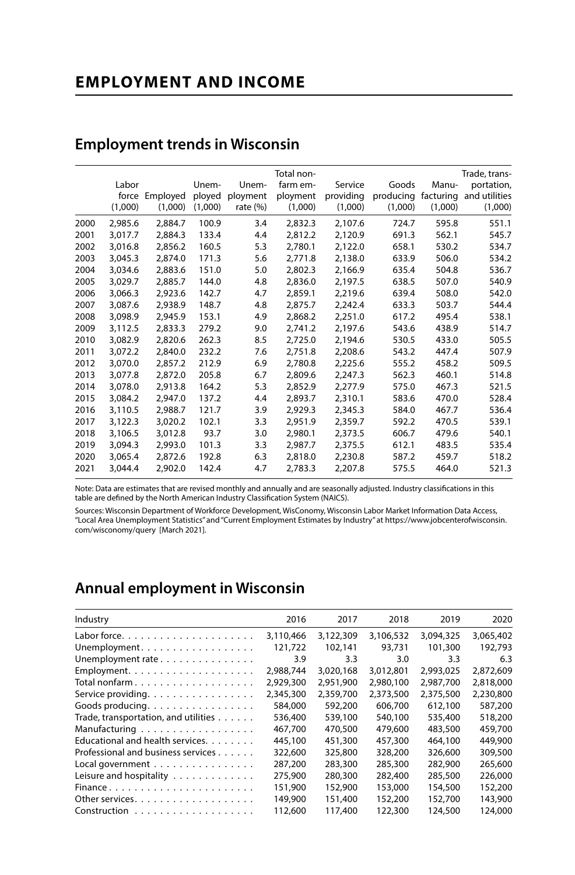# **EMPLOYMENT AND INCOME**

|      |         |          |         |             | Total non- |           |           |           | Trade, trans- |
|------|---------|----------|---------|-------------|------------|-----------|-----------|-----------|---------------|
|      | Labor   |          | Unem-   | Unem-       | farm em-   | Service   | Goods     | Manu-     | portation,    |
|      | force   | Employed | ployed  | ployment    | ployment   | providing | producing | facturing | and utilities |
|      | (1,000) | (1,000)  | (1,000) | rate $(\%)$ | (1,000)    | (1,000)   | (1,000)   | (1,000)   | (1,000)       |
| 2000 | 2,985.6 | 2,884.7  | 100.9   | 3.4         | 2,832.3    | 2,107.6   | 724.7     | 595.8     | 551.1         |
| 2001 | 3.017.7 | 2.884.3  | 133.4   | 4.4         | 2.812.2    | 2,120.9   | 691.3     | 562.1     | 545.7         |
| 2002 | 3,016.8 | 2,856.2  | 160.5   | 5.3         | 2.780.1    | 2,122.0   | 658.1     | 530.2     | 534.7         |
| 2003 | 3.045.3 | 2.874.0  | 171.3   | 5.6         | 2,771.8    | 2,138.0   | 633.9     | 506.0     | 534.2         |
| 2004 | 3.034.6 | 2.883.6  | 151.0   | 5.0         | 2.802.3    | 2.166.9   | 635.4     | 504.8     | 536.7         |
| 2005 | 3,029.7 | 2,885.7  | 144.0   | 4.8         | 2,836.0    | 2,197.5   | 638.5     | 507.0     | 540.9         |
| 2006 | 3.066.3 | 2.923.6  | 142.7   | 4.7         | 2.859.1    | 2,219.6   | 639.4     | 508.0     | 542.0         |
| 2007 | 3.087.6 | 2,938.9  | 148.7   | 4.8         | 2,875.7    | 2,242.4   | 633.3     | 503.7     | 544.4         |
| 2008 | 3.098.9 | 2.945.9  | 153.1   | 4.9         | 2,868.2    | 2,251.0   | 617.2     | 495.4     | 538.1         |
| 2009 | 3,112.5 | 2,833.3  | 279.2   | 9.0         | 2,741.2    | 2,197.6   | 543.6     | 438.9     | 514.7         |
| 2010 | 3,082.9 | 2,820.6  | 262.3   | 8.5         | 2,725.0    | 2.194.6   | 530.5     | 433.0     | 505.5         |
| 2011 | 3,072.2 | 2.840.0  | 232.2   | 7.6         | 2,751.8    | 2,208.6   | 543.2     | 447.4     | 507.9         |
| 2012 | 3.070.0 | 2.857.2  | 212.9   | 6.9         | 2.780.8    | 2,225.6   | 555.2     | 458.2     | 509.5         |
| 2013 | 3.077.8 | 2.872.0  | 205.8   | 6.7         | 2.809.6    | 2.247.3   | 562.3     | 460.1     | 514.8         |
| 2014 | 3,078.0 | 2,913.8  | 164.2   | 5.3         | 2,852.9    | 2,277.9   | 575.0     | 467.3     | 521.5         |
| 2015 | 3.084.2 | 2.947.0  | 137.2   | 4.4         | 2.893.7    | 2,310.1   | 583.6     | 470.0     | 528.4         |
| 2016 | 3,110.5 | 2.988.7  | 121.7   | 3.9         | 2.929.3    | 2.345.3   | 584.0     | 467.7     | 536.4         |
| 2017 | 3,122.3 | 3.020.2  | 102.1   | 3.3         | 2.951.9    | 2,359.7   | 592.2     | 470.5     | 539.1         |
| 2018 | 3,106.5 | 3.012.8  | 93.7    | 3.0         | 2.980.1    | 2.373.5   | 606.7     | 479.6     | 540.1         |
| 2019 | 3,094.3 | 2,993.0  | 101.3   | 3.3         | 2.987.7    | 2,375.5   | 612.1     | 483.5     | 535.4         |
| 2020 | 3.065.4 | 2.872.6  | 192.8   | 6.3         | 2.818.0    | 2.230.8   | 587.2     | 459.7     | 518.2         |
| 2021 | 3.044.4 | 2.902.0  | 142.4   | 4.7         | 2,783.3    | 2,207.8   | 575.5     | 464.0     | 521.3         |

### **Employment trends in Wisconsin**

Note: Data are estimates that are revised monthly and annually and are seasonally adjusted. Industry classifications in this table are defined by the North American Industry Classification System (NAICS).

Sources: Wisconsin Department of Workforce Development, WisConomy, Wisconsin Labor Market Information Data Access, "Local Area Unemployment Statistics" and "Current Employment Estimates by Industry" at https://www.jobcenterofwisconsin. com/wisconomy/query [March 2021].

# **Annual employment in Wisconsin**

| Industry                                     | 2016      | 2017      | 2018      | 2019      | 2020      |
|----------------------------------------------|-----------|-----------|-----------|-----------|-----------|
| Labor force. $\ldots$ .                      | 3,110,466 | 3,122,309 | 3,106,532 | 3.094.325 | 3,065,402 |
| Unemployment.                                | 121,722   | 102,141   | 93,731    | 101,300   | 192,793   |
| Unemployment rate                            | 3.9       | 3.3       | 3.0       | 3.3       | 6.3       |
|                                              | 2,988,744 | 3,020,168 | 3,012,801 | 2,993,025 | 2,872,609 |
| Total nonfarm                                | 2,929,300 | 2,951,900 | 2,980,100 | 2,987,700 | 2,818,000 |
| Service providing.                           | 2,345,300 | 2,359,700 | 2,373,500 | 2,375,500 | 2,230,800 |
| Goods producing.                             | 584,000   | 592,200   | 606,700   | 612,100   | 587,200   |
| Trade, transportation, and utilities $\dots$ | 536.400   | 539,100   | 540,100   | 535,400   | 518,200   |
| Manufacturing                                | 467.700   | 470,500   | 479,600   | 483,500   | 459,700   |
| Educational and health services.             | 445,100   | 451,300   | 457,300   | 464,100   | 449,900   |
| Professional and business services           | 322,600   | 325,800   | 328,200   | 326,600   | 309,500   |
| Local government                             | 287.200   | 283,300   | 285,300   | 282,900   | 265,600   |
| Leisure and hospitality                      | 275,900   | 280,300   | 282,400   | 285,500   | 226,000   |
| Finance                                      | 151.900   | 152,900   | 153,000   | 154,500   | 152,200   |
| Other services.                              | 149,900   | 151,400   | 152,200   | 152,700   | 143,900   |
|                                              | 112,600   | 117,400   | 122,300   | 124,500   | 124,000   |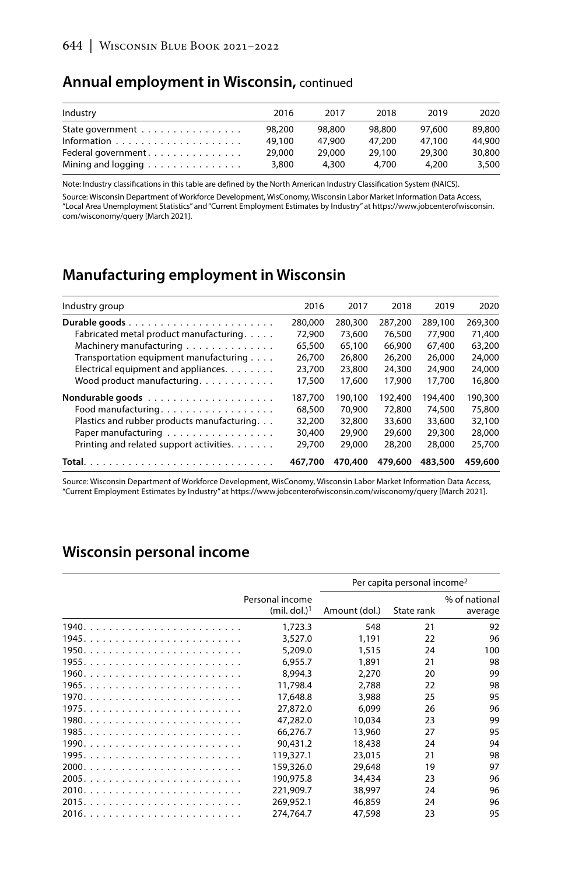#### **Annual employment in Wisconsin,** continued

| Industry                                              | 2016   | 2017   | 2018   | 2019   | 2020   |
|-------------------------------------------------------|--------|--------|--------|--------|--------|
| State government $\ldots \ldots \ldots \ldots \ldots$ | 98.200 | 98.800 | 98.800 | 97.600 | 89,800 |
|                                                       | 49.100 | 47.900 | 47.200 | 47.100 | 44,900 |
| Federal government                                    | 29,000 | 29,000 | 29.100 | 29.300 | 30,800 |
| Mining and logging                                    | 3,800  | 4.300  | 4.700  | 4.200  | 3,500  |

Note: Industry classifications in this table are defined by the North American Industry Classification System (NAICS).

Source: Wisconsin Department of Workforce Development, WisConomy, Wisconsin Labor Market Information Data Access, "Local Area Unemployment Statistics" and "Current Employment Estimates by Industry" at https://www.jobcenterofwisconsin. com/wisconomy/query [March 2021].

## **Manufacturing employment in Wisconsin**

| Industry group                              | 2016    | 2017    | 2018    | 2019    | 2020    |
|---------------------------------------------|---------|---------|---------|---------|---------|
|                                             | 280,000 | 280,300 | 287,200 | 289,100 | 269,300 |
| Fabricated metal product manufacturing.     | 72,900  | 73,600  | 76,500  | 77,900  | 71,400  |
| Machinery manufacturing                     | 65,500  | 65,100  | 66,900  | 67,400  | 63,200  |
| Transportation equipment manufacturing      | 26,700  | 26,800  | 26,200  | 26,000  | 24,000  |
| Electrical equipment and appliances.        | 23,700  | 23,800  | 24,300  | 24,900  | 24,000  |
| Wood product manufacturing.                 | 17,500  | 17,600  | 17,900  | 17,700  | 16,800  |
|                                             | 187.700 | 190.100 | 192.400 | 194,400 | 190,300 |
| Food manufacturing                          | 68,500  | 70,900  | 72,800  | 74,500  | 75,800  |
| Plastics and rubber products manufacturing. | 32,200  | 32,800  | 33,600  | 33,600  | 32,100  |
| Paper manufacturing                         | 30,400  | 29,900  | 29,600  | 29,300  | 28,000  |
| Printing and related support activities.    | 29,700  | 29,000  | 28,200  | 28,000  | 25,700  |
|                                             | 467,700 | 470,400 | 479,600 | 483,500 | 459,600 |

Source: Wisconsin Department of Workforce Development, WisConomy, Wisconsin Labor Market Information Data Access, "Current Employment Estimates by Industry" at https://www.jobcenterofwisconsin.com/wisconomy/query [March 2021].

## **Wisconsin personal income**

|                                             |               | Per capita personal income <sup>2</sup> |                          |
|---------------------------------------------|---------------|-----------------------------------------|--------------------------|
| Personal income<br>(mil. dol.) <sup>1</sup> | Amount (dol.) | State rank                              | % of national<br>average |
| 1,723.3                                     | 548           | 21                                      | 92                       |
| 3,527.0                                     | 1,191         | 22                                      | 96                       |
| 5,209.0                                     | 1,515         | 24                                      | 100                      |
| 6.955.7                                     | 1.891         | 21                                      | 98                       |
| 8.994.3                                     | 2.270         | 20                                      | 99                       |
| 11,798.4                                    | 2.788         | 22                                      | 98                       |
| 17,648.8                                    | 3,988         | 25                                      | 95                       |
| 27,872.0                                    | 6.099         | 26                                      | 96                       |
| 47,282.0                                    | 10.034        | 23                                      | 99                       |
| 66.276.7                                    | 13,960        | 27                                      | 95                       |
| 90.431.2                                    | 18,438        | 24                                      | 94                       |
| 119,327.1                                   | 23,015        | 21                                      | 98                       |
| 159,326.0                                   | 29,648        | 19                                      | 97                       |
| 190,975.8                                   | 34,434        | 23                                      | 96                       |
| 221.909.7                                   | 38,997        | 24                                      | 96                       |
| 269,952.1                                   | 46.859        | 24                                      | 96                       |
| 274,764.7                                   | 47,598        | 23                                      | 95                       |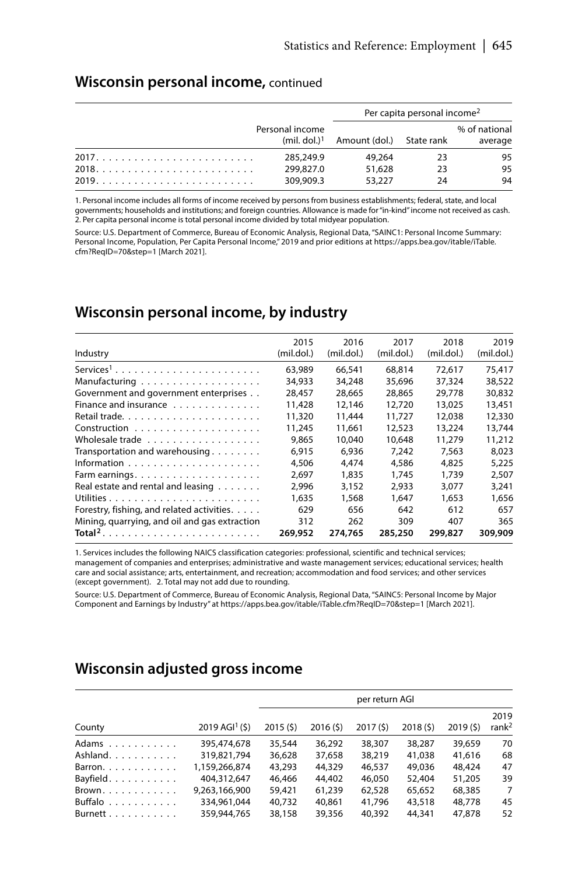#### **Wisconsin personal income,** continued

|                 | Per capita personal income <sup>2</sup> |     |                          |  |  |
|-----------------|-----------------------------------------|-----|--------------------------|--|--|
| Personal income | $(mil. dol.)1$ Amount (dol.) State rank |     | % of national<br>average |  |  |
| 285,249.9       | 49.264                                  | 23  | 95                       |  |  |
| 299,827.0       | 51,628                                  | -23 | 95                       |  |  |
| 309,909.3       | 53,227                                  | 24  | 94                       |  |  |

1. Personal income includes all forms of income received by persons from business establishments; federal, state, and local governments; households and institutions; and foreign countries. Allowance is made for "in-kind" income not received as cash. 2. Per capita personal income is total personal income divided by total midyear population.

Source: U.S. Department of Commerce, Bureau of Economic Analysis, Regional Data, "SAINC1: Personal Income Summary: Personal Income, Population, Per Capita Personal Income," 2019 and prior editions at https://apps.bea.gov/itable/iTable. cfm?ReqID=70&step=1 [March 2021].

### **Wisconsin personal income, by industry**

|                                                  | 2015       | 2016       | 2017       | 2018       | 2019       |
|--------------------------------------------------|------------|------------|------------|------------|------------|
|                                                  |            |            |            |            |            |
| Industry                                         | (mil.dol.) | (mil.dol.) | (mil.dol.) | (mil.dol.) | (mil.dol.) |
| $Services1$                                      | 63.989     | 66.541     | 68.814     | 72.617     | 75.417     |
|                                                  | 34,933     | 34,248     | 35,696     | 37,324     | 38,522     |
| Government and government enterprises            | 28.457     | 28.665     | 28,865     | 29.778     | 30.832     |
| Finance and insurance                            | 11.428     | 12,146     | 12,720     | 13,025     | 13,451     |
|                                                  | 11,320     | 11.444     | 11.727     | 12,038     | 12,330     |
|                                                  | 11,245     | 11.661     | 12,523     | 13,224     | 13.744     |
| Wholesale trade                                  | 9.865      | 10.040     | 10.648     | 11,279     | 11,212     |
| Transportation and warehousing                   | 6.915      | 6.936      | 7.242      | 7.563      | 8.023      |
|                                                  | 4,506      | 4.474      | 4,586      | 4.825      | 5,225      |
|                                                  | 2.697      | 1.835      | 1.745      | 1.739      | 2.507      |
| Real estate and rental and leasing $\dots \dots$ | 2.996      | 3.152      | 2.933      | 3.077      | 3.241      |
|                                                  | 1,635      | 1,568      | 1,647      | 1,653      | 1,656      |
| Forestry, fishing, and related activities.       | 629        | 656        | 642        | 612        | 657        |
| Mining, quarrying, and oil and gas extraction    | 312        | 262        | 309        | 407        | 365        |
| Total <sup>2</sup>                               | 269,952    | 274,765    | 285,250    | 299,827    | 309,909    |

1. Services includes the following NAICS classification categories: professional, scientific and technical services; management of companies and enterprises; administrative and waste management services; educational services; health care and social assistance; arts, entertainment, and recreation; accommodation and food services; and other services (except government). 2. Total may not add due to rounding.

Source: U.S. Department of Commerce, Bureau of Economic Analysis, Regional Data, "SAINC5: Personal Income by Major Component and Earnings by Industry" at https://apps.bea.gov/itable/iTable.cfm?ReqID=70&step=1 [March 2021].

# **Wisconsin adjusted gross income**

|                               |                              | per return AGI |         |         |         |         |                           |  |  |  |  |
|-------------------------------|------------------------------|----------------|---------|---------|---------|---------|---------------------------|--|--|--|--|
| County                        | $2019$ AGI <sup>1</sup> (\$) | 2015(5)        | 2016(5) | 2017(5) | 2018(5) | 2019(5) | 2019<br>rank <sup>2</sup> |  |  |  |  |
| Adams                         | 395.474.678                  | 35,544         | 36.292  | 38,307  | 38,287  | 39.659  | 70                        |  |  |  |  |
| Ashland.                      | 319,821,794                  | 36,628         | 37,658  | 38,219  | 41.038  | 41.616  | 68                        |  |  |  |  |
| Barron. $\ldots$ .            | 1.159.266.874                | 43,293         | 44,329  | 46.537  | 49.036  | 48,424  | 47                        |  |  |  |  |
| Bayfield                      | 404,312,647                  | 46.466         | 44,402  | 46,050  | 52,404  | 51,205  | 39                        |  |  |  |  |
| $Brown. \ldots \ldots \ldots$ | 9,263,166,900                | 59,421         | 61,239  | 62,528  | 65.652  | 68,385  | 7                         |  |  |  |  |
| Buffalo                       | 334.961.044                  | 40.732         | 40.861  | 41.796  | 43,518  | 48,778  | 45                        |  |  |  |  |
| Burnett                       | 359.944.765                  | 38,158         | 39,356  | 40.392  | 44,341  | 47.878  | 52                        |  |  |  |  |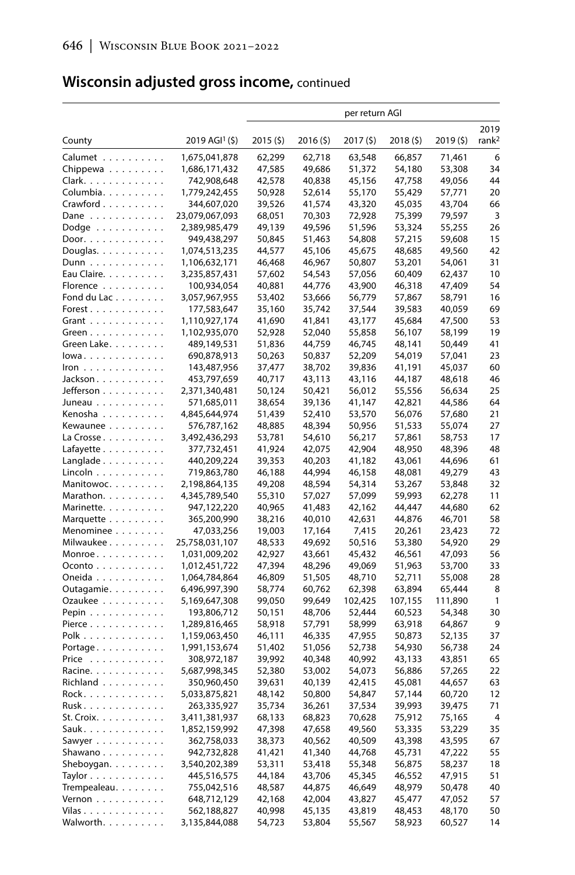# **Wisconsin adjusted gross income,** continued

|                                      |                              | per return AGI   |                  |                  |                  |                  |                   |
|--------------------------------------|------------------------------|------------------|------------------|------------------|------------------|------------------|-------------------|
|                                      |                              |                  |                  |                  |                  |                  | 2019              |
| County                               | $2019$ AGI <sup>1</sup> (\$) | 2015(5)          | 2016(5)          | 2017(5)          | 2018 (\$)        | 2019 (\$)        | rank <sup>2</sup> |
| Calumet                              | 1,675,041,878                | 62,299           | 62,718           | 63,548           | 66,857           | 71,461           | 6                 |
| Chippewa $\ldots \ldots \ldots$      | 1,686,171,432                | 47,585           | 49,686           | 51,372           | 54,180           | 53,308           | 34                |
| Clark.                               | 742,908,648                  | 42,578           | 40,838           | 45,156           | 47,758           | 49,056           | 44                |
| Columbia.                            | 1,779,242,455                | 50,928           | 52,614           | 55,170           | 55,429           | 57,771           | 20                |
| $C$ rawford $\ldots \ldots \ldots$   | 344,607,020                  | 39,526           | 41,574           | 43,320           | 45,035           | 43,704           | 66                |
| Dane                                 | 23,079,067,093               | 68,051           | 70,303           | 72,928           | 75,399           | 79,597           | 3                 |
| Dodge $\dots\dots\dots\dots$         | 2,389,985,479                | 49,139           | 49,596           | 51,596           | 53,324           | 55,255           | 26                |
| Door.                                | 949,438,297                  | 50,845           | 51,463           | 54,808           | 57,215           | 59,608           | 15                |
| Douglas. $\ldots$ .                  | 1,074,513,235                | 44,577           | 45,106           | 45,675           | 48,685           | 49,560           | 42                |
| Dunn                                 | 1,106,632,171                | 46,468           | 46,967           | 50,807           | 53,201           | 54,061           | 31                |
| Eau Claire.                          | 3,235,857,431                | 57,602           | 54,543           | 57,056           | 60,409           | 62,437           | 10                |
| Florence                             | 100,934,054                  | 40,881           | 44,776           | 43,900           | 46,318           | 47,409           | 54                |
| Fond du Lac                          | 3,057,967,955                | 53,402           | 53,666           | 56,779           | 57,867           | 58,791           | 16                |
| Forest.                              | 177,583,647                  | 35,160           | 35,742           | 37,544           | 39,583           | 40,059           | 69                |
| Grant                                | 1,110,927,174                | 41,690           | 41,841           | 43,177           | 45,684           | 47,500           | 53                |
| Green                                | 1,102,935,070                | 52,928           | 52,040           | 55,858           | 56,107           | 58,199           | 19                |
| Green Lake                           | 489,149,531                  | 51,836           | 44,759           | 46,745           | 48,141           | 50,449           | 41                |
| lowa                                 | 690,878,913                  | 50,263           | 50,837           | 52,209           | 54,019           | 57,041           | 23                |
| $lron \dots \dots \dots \dots \dots$ | 143,487,956                  | 37,477           | 38,702           | 39,836           | 41,191           | 45,037           | 60                |
| Jackson                              | 453,797,659                  | 40,717           | 43,113           | 43,116           | 44,187           | 48,618           | 46                |
| Jefferson                            | 2,371,340,481                | 50,124           | 50,421           | 56,012           | 55,556           | 56,634           | 25                |
| Juneau                               | 571,685,011                  | 38,654           | 39,136           | 41,147           | 42,821           | 44,586           | 64<br>21          |
| Kenosha                              | 4,845,644,974                | 51,439           | 52,410           | 53,570           | 56,076           | 57,680           | 27                |
| Kewaunee                             | 576,787,162<br>3,492,436,293 | 48,885<br>53,781 | 48,394<br>54,610 | 50,956<br>56,217 | 51,533           | 55,074<br>58,753 | 17                |
| La Crosse<br>$L$ afayette $\ldots$   | 377,732,451                  | 41,924           | 42,075           | 42,904           | 57,861<br>48,950 | 48,396           | 48                |
| $L$ anglade                          | 440,209,224                  | 39,353           | 40,203           | 41,182           | 43,061           | 44,696           | 61                |
| Lincoln                              | 719,863,780                  | 46,188           | 44,994           | 46,158           | 48,081           | 49,279           | 43                |
| Manitowoc.                           | 2,198,864,135                | 49,208           | 48,594           | 54,314           | 53,267           | 53,848           | 32                |
| Marathon.                            | 4,345,789,540                | 55,310           | 57,027           | 57,099           | 59,993           | 62,278           | 11                |
| Marinette.                           | 947,122,220                  | 40,965           | 41,483           | 42,162           | 44,447           | 44,680           | 62                |
| Marquette                            | 365,200,990                  | 38,216           | 40,010           | 42,631           | 44,876           | 46,701           | 58                |
| Menominee                            | 47,033,256                   | 19,003           | 17,164           | 7,415            | 20,261           | 23,423           | 72                |
| Milwaukee                            | 25,758,031,107               | 48,533           | 49,692           | 50,516           | 53,380           | 54,920           | 29                |
| Monroe                               | 1,031,009,202                | 42,927           | 43,661           | 45,432           | 46,561           | 47,093           | 56                |
| $O$ conto $\ldots$                   | 1,012,451,722                | 47,394           | 48,296           | 49,069           | 51,963           | 53,700           | 33                |
| Oneida                               | 1,064,784,864                | 46,809           | 51,505           | 48,710           | 52,711           | 55,008           | 28                |
| Outagamie                            | 6,496,997,390                | 58,774           | 60,762           | 62,398           | 63,894           | 65,444           | 8                 |
| Ozaukee                              | 5,169,647,308                | 99,050           | 99,649           | 102,425          | 107,155          | 111,890          | $\mathbf{1}$      |
| Pepin $\ldots \ldots \ldots$         | 193,806,712                  | 50,151           | 48,706           | 52,444           | 60,523           | 54,348           | 30                |
| Pierce $\ldots \ldots \ldots \ldots$ | 1,289,816,465                | 58,918           | 57,791           | 58,999           | 63,918           | 64,867           | 9                 |
| Polk                                 | 1,159,063,450                | 46,111           | 46,335           | 47,955           | 50,873           | 52,135           | 37                |
| Portage                              | 1,991,153,674                | 51,402           | 51,056           | 52,738           | 54,930           | 56,738           | 24                |
| Price                                | 308,972,187                  | 39,992           | 40,348           | 40,992           | 43,133           | 43,851           | 65                |
| Racine.                              | 5,687,998,345                | 52,380           | 53,002           | 54,073           | 56,886           | 57,265           | 22                |
| Richland                             | 350,960,450                  | 39,631           | 40,139           | 42,415           | 45,081           | 44,657           | 63                |
| Rock                                 | 5,033,875,821                | 48,142           | 50,800           | 54,847           | 57,144           | 60,720           | 12                |
| Rusk.                                | 263,335,927                  | 35,734           | 36,261           | 37,534           | 39,993           | 39,475           | 71                |
| St. Croix.                           | 3,411,381,937                | 68,133           | 68,823           | 70,628           | 75,912           | 75,165           | $\overline{4}$    |
| Sauk.                                | 1,852,159,992                | 47,398           | 47,658           | 49,560           | 53,335           | 53,229           | 35                |
| Sawyer                               | 362,758,033                  | 38,373           | 40,562           | 40,509           | 43,398           | 43,595           | 67                |
| Shawano                              | 942,732,828                  | 41,421           | 41,340           | 44,768           | 45,731           | 47,222           | 55                |
| Sheboygan. $\ldots$ .                | 3,540,202,389                | 53,311           | 53,418           | 55,348           | 56,875           | 58,237           | 18<br>51          |
| $Taylor \ldots \ldots \ldots \ldots$ | 445,516,575                  | 44,184           | 43,706           | 45,345           | 46,552           | 47,915           | 40                |
| Trempealeau<br>Vernon                | 755,042,516<br>648,712,129   | 48,587<br>42,168 | 44,875<br>42,004 | 46,649           | 48,979<br>45,477 | 50,478<br>47,052 | 57                |
| Vilas                                | 562,188,827                  | 40,998           | 45,135           | 43,827<br>43,819 | 48,453           | 48,170           | 50                |
| Walworth.                            | 3,135,844,088                | 54,723           | 53,804           | 55,567           | 58,923           | 60,527           | 14                |
|                                      |                              |                  |                  |                  |                  |                  |                   |